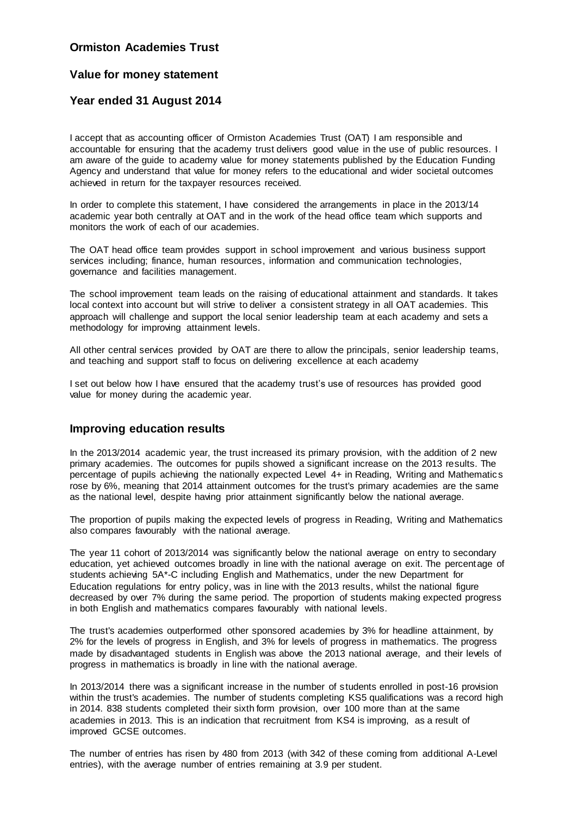## **Ormiston Academies Trust**

# **Value for money statement**

# **Year ended 31 August 2014**

I accept that as accounting officer of Ormiston Academies Trust (OAT) I am responsible and accountable for ensuring that the academy trust delivers good value in the use of public resources. I am aware of the guide to academy value for money statements published by the Education Funding Agency and understand that value for money refers to the educational and wider societal outcomes achieved in return for the taxpayer resources received.

In order to complete this statement, I have considered the arrangements in place in the 2013/14 academic year both centrally at OAT and in the work of the head office team which supports and monitors the work of each of our academies.

The OAT head office team provides support in school improvement and various business support services including; finance, human resources, information and communication technologies, governance and facilities management.

The school improvement team leads on the raising of educational attainment and standards. It takes local context into account but will strive to deliver a consistent strategy in all OAT academies. This approach will challenge and support the local senior leadership team at each academy and sets a methodology for improving attainment levels.

All other central services provided by OAT are there to allow the principals, senior leadership teams, and teaching and support staff to focus on delivering excellence at each academy

I set out below how I have ensured that the academy trust's use of resources has provided good value for money during the academic year.

## **Improving education results**

In the 2013/2014 academic year, the trust increased its primary provision, with the addition of 2 new primary academies. The outcomes for pupils showed a significant increase on the 2013 results. The percentage of pupils achieving the nationally expected Level 4+ in Reading, Writing and Mathematic s rose by 6%, meaning that 2014 attainment outcomes for the trust's primary academies are the same as the national level, despite having prior attainment significantly below the national average.

The proportion of pupils making the expected levels of progress in Reading, Writing and Mathematics also compares favourably with the national average.

The year 11 cohort of 2013/2014 was significantly below the national average on entry to secondary education, yet achieved outcomes broadly in line with the national average on exit. The percentage of students achieving 5A\*-C including English and Mathematics, under the new Department for Education regulations for entry policy, was in line with the 2013 results, whilst the national figure decreased by over 7% during the same period. The proportion of students making expected progress in both English and mathematics compares favourably with national levels.

The trust's academies outperformed other sponsored academies by 3% for headline attainment, by 2% for the levels of progress in English, and 3% for levels of progress in mathematics. The progress made by disadvantaged students in English was above the 2013 national average, and their levels of progress in mathematics is broadly in line with the national average.

In 2013/2014 there was a significant increase in the number of students enrolled in post-16 provision within the trust's academies. The number of students completing KS5 qualifications was a record high in 2014. 838 students completed their sixth form provision, over 100 more than at the same academies in 2013. This is an indication that recruitment from KS4 is improving, as a result of improved GCSE outcomes.

The number of entries has risen by 480 from 2013 (with 342 of these coming from additional A-Level entries), with the average number of entries remaining at 3.9 per student.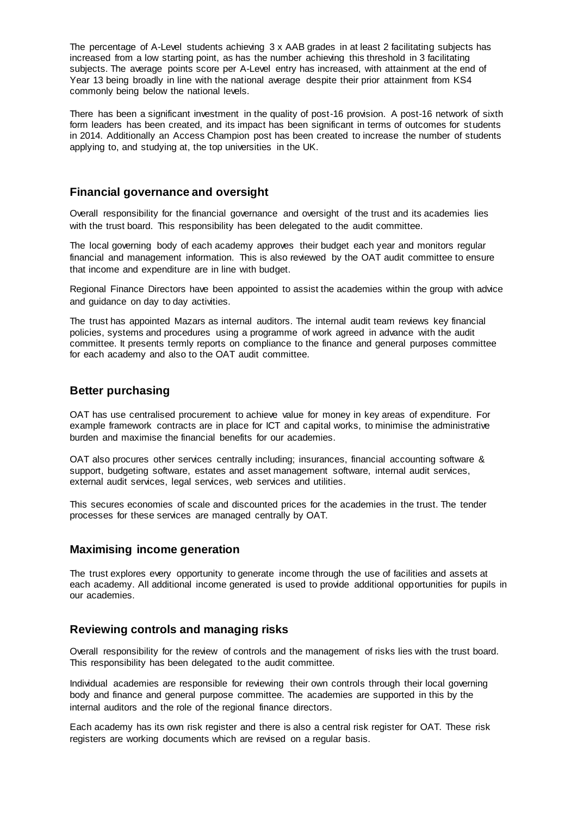The percentage of A-Level students achieving 3 x AAB grades in at least 2 facilitating subjects has increased from a low starting point, as has the number achieving this threshold in 3 facilitating subjects. The average points score per A-Level entry has increased, with attainment at the end of Year 13 being broadly in line with the national average despite their prior attainment from KS4 commonly being below the national levels.

There has been a significant investment in the quality of post-16 provision. A post-16 network of sixth form leaders has been created, and its impact has been significant in terms of outcomes for students in 2014. Additionally an Access Champion post has been created to increase the number of students applying to, and studying at, the top universities in the UK.

#### **Financial governance and oversight**

Overall responsibility for the financial governance and oversight of the trust and its academies lies with the trust board. This responsibility has been delegated to the audit committee.

The local governing body of each academy approves their budget each year and monitors regular financial and management information. This is also reviewed by the OAT audit committee to ensure that income and expenditure are in line with budget.

Regional Finance Directors have been appointed to assist the academies within the group with advice and guidance on day to day activities.

The trust has appointed Mazars as internal auditors. The internal audit team reviews key financial policies, systems and procedures using a programme of work agreed in advance with the audit committee. It presents termly reports on compliance to the finance and general purposes committee for each academy and also to the OAT audit committee.

## **Better purchasing**

OAT has use centralised procurement to achieve value for money in key areas of expenditure. For example framework contracts are in place for ICT and capital works, to minimise the administrative burden and maximise the financial benefits for our academies.

OAT also procures other services centrally including; insurances, financial accounting software & support, budgeting software, estates and asset management software, internal audit services, external audit services, legal services, web services and utilities.

This secures economies of scale and discounted prices for the academies in the trust. The tender processes for these services are managed centrally by OAT.

#### **Maximising income generation**

The trust explores every opportunity to generate income through the use of facilities and assets at each academy. All additional income generated is used to provide additional opportunities for pupils in our academies.

#### **Reviewing controls and managing risks**

Overall responsibility for the review of controls and the management of risks lies with the trust board. This responsibility has been delegated to the audit committee.

Individual academies are responsible for reviewing their own controls through their local governing body and finance and general purpose committee. The academies are supported in this by the internal auditors and the role of the regional finance directors.

Each academy has its own risk register and there is also a central risk register for OAT. These risk registers are working documents which are revised on a regular basis.